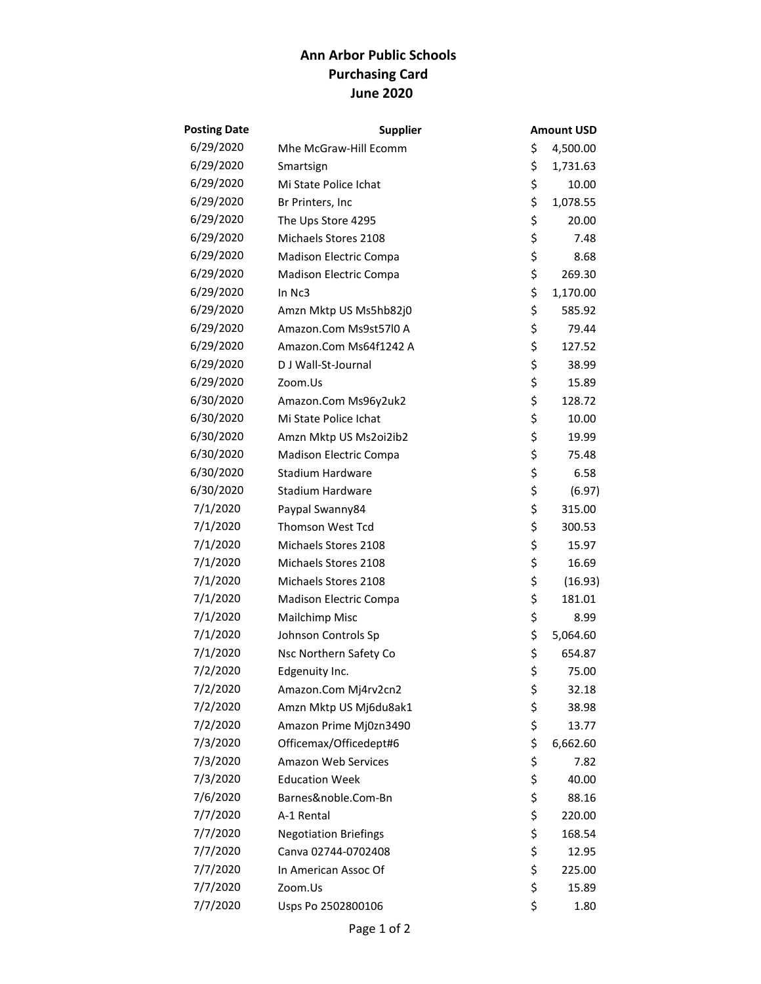## **Ann Arbor Public Schools Purchasing Card June 2020**

| <b>Posting Date</b> | <b>Supplier</b>              | Amount USD     |
|---------------------|------------------------------|----------------|
| 6/29/2020           | Mhe McGraw-Hill Ecomm        | \$<br>4,500.00 |
| 6/29/2020           | Smartsign                    | \$<br>1,731.63 |
| 6/29/2020           | Mi State Police Ichat        | \$<br>10.00    |
| 6/29/2020           | Br Printers, Inc             | \$<br>1,078.55 |
| 6/29/2020           | The Ups Store 4295           | \$<br>20.00    |
| 6/29/2020           | Michaels Stores 2108         | \$<br>7.48     |
| 6/29/2020           | Madison Electric Compa       | \$<br>8.68     |
| 6/29/2020           | Madison Electric Compa       | \$<br>269.30   |
| 6/29/2020           | In Nc3                       | \$<br>1,170.00 |
| 6/29/2020           | Amzn Mktp US Ms5hb82j0       | \$<br>585.92   |
| 6/29/2020           | Amazon.Com Ms9st57l0 A       | \$<br>79.44    |
| 6/29/2020           | Amazon.Com Ms64f1242 A       | \$<br>127.52   |
| 6/29/2020           | D J Wall-St-Journal          | \$<br>38.99    |
| 6/29/2020           | Zoom.Us                      | \$<br>15.89    |
| 6/30/2020           | Amazon.Com Ms96y2uk2         | \$<br>128.72   |
| 6/30/2020           | Mi State Police Ichat        | \$<br>10.00    |
| 6/30/2020           | Amzn Mktp US Ms2oi2ib2       | \$<br>19.99    |
| 6/30/2020           | Madison Electric Compa       | \$<br>75.48    |
| 6/30/2020           | <b>Stadium Hardware</b>      | \$<br>6.58     |
| 6/30/2020           | <b>Stadium Hardware</b>      | \$<br>(6.97)   |
| 7/1/2020            | Paypal Swanny84              | \$<br>315.00   |
| 7/1/2020            | Thomson West Tcd             | \$<br>300.53   |
| 7/1/2020            | Michaels Stores 2108         | \$<br>15.97    |
| 7/1/2020            | Michaels Stores 2108         | \$<br>16.69    |
| 7/1/2020            | Michaels Stores 2108         | \$<br>(16.93)  |
| 7/1/2020            | Madison Electric Compa       | \$<br>181.01   |
| 7/1/2020            | Mailchimp Misc               | \$<br>8.99     |
| 7/1/2020            | Johnson Controls Sp          | \$<br>5,064.60 |
| 7/1/2020            | Nsc Northern Safety Co       | \$<br>654.87   |
| 7/2/2020            | Edgenuity Inc.               | \$<br>75.00    |
| 7/2/2020            | Amazon.Com Mj4rv2cn2         | \$<br>32.18    |
| 7/2/2020            | Amzn Mktp US Mj6du8ak1       | \$<br>38.98    |
| 7/2/2020            | Amazon Prime Mj0zn3490       | \$<br>13.77    |
| 7/3/2020            | Officemax/Officedept#6       | \$<br>6,662.60 |
| 7/3/2020            | Amazon Web Services          | \$<br>7.82     |
| 7/3/2020            | <b>Education Week</b>        | \$<br>40.00    |
| 7/6/2020            | Barnes&noble.Com-Bn          | \$<br>88.16    |
| 7/7/2020            | A-1 Rental                   | \$<br>220.00   |
| 7/7/2020            | <b>Negotiation Briefings</b> | \$<br>168.54   |
| 7/7/2020            | Canva 02744-0702408          | \$<br>12.95    |
| 7/7/2020            | In American Assoc Of         | \$<br>225.00   |
| 7/7/2020            | Zoom.Us                      | \$<br>15.89    |
| 7/7/2020            | Usps Po 2502800106           | \$<br>1.80     |